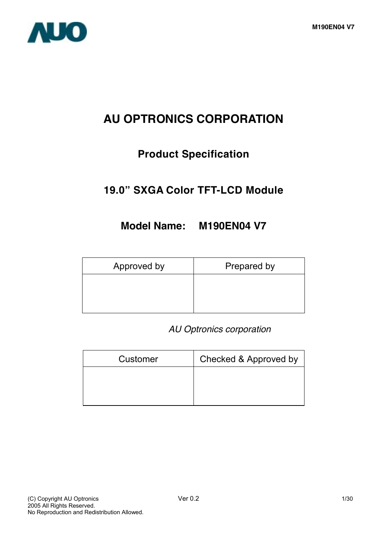

# **AU OPTRONICS CORPORATION**

## **Product Specification**

## **19.0" SXGA Color TFT-LCD Module**

## **Model Name: M190EN04 V7**

| Approved by | Prepared by |
|-------------|-------------|
|             |             |
|             |             |

## *AU Optronics corporation*

| Customer | Checked & Approved by |
|----------|-----------------------|
|          |                       |
|          |                       |
|          |                       |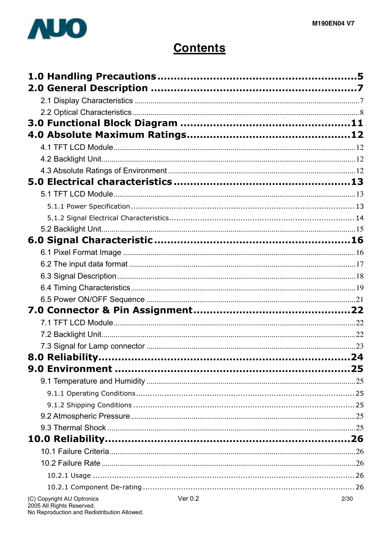

# **Contents**

| (C) Copyright AU Optronics | Ver 0.2 | 2/30 |
|----------------------------|---------|------|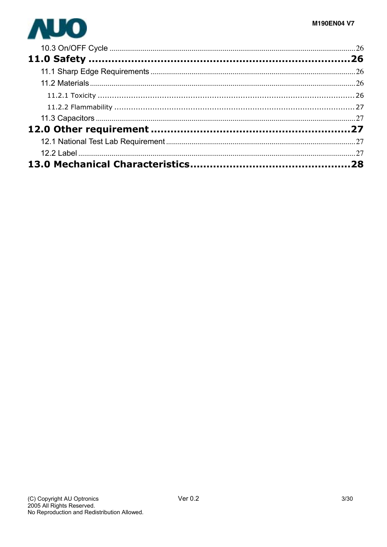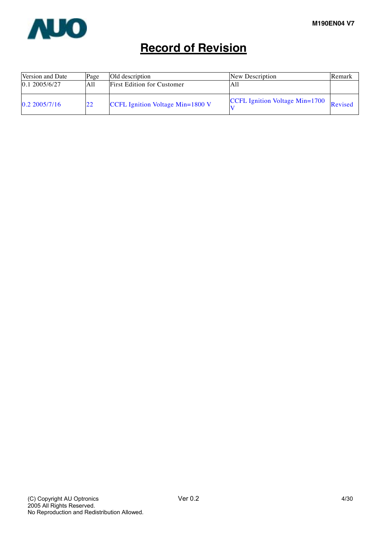

# **Record of Revision**

| Version and Date               | Old description<br>Page |                                         | New Description                       | Remark  |
|--------------------------------|-------------------------|-----------------------------------------|---------------------------------------|---------|
| $\vert 0.1 \, 2005/6/27 \vert$ | A11                     | <b>First Edition for Customer</b>       | All                                   |         |
| 0.22005/7/16                   |                         | <b>CCFL Ignition Voltage Min=1800 V</b> | <b>CCFL Ignition Voltage Min=1700</b> | Revised |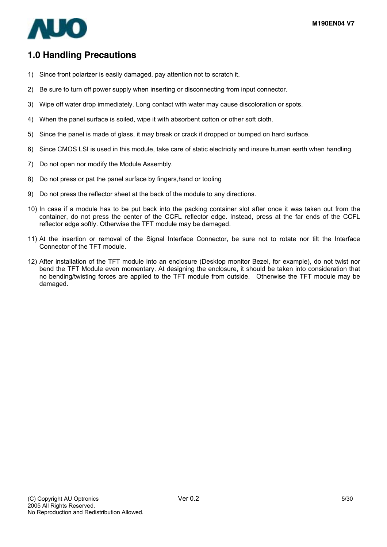

## **1.0 Handling Precautions**

- 1) Since front polarizer is easily damaged, pay attention not to scratch it.
- 2) Be sure to turn off power supply when inserting or disconnecting from input connector.
- 3) Wipe off water drop immediately. Long contact with water may cause discoloration or spots.
- 4) When the panel surface is soiled, wipe it with absorbent cotton or other soft cloth.
- 5) Since the panel is made of glass, it may break or crack if dropped or bumped on hard surface.
- 6) Since CMOS LSI is used in this module, take care of static electricity and insure human earth when handling.
- 7) Do not open nor modify the Module Assembly.
- 8) Do not press or pat the panel surface by fingers,hand or tooling
- 9) Do not press the reflector sheet at the back of the module to any directions.
- 10) In case if a module has to be put back into the packing container slot after once it was taken out from the container, do not press the center of the CCFL reflector edge. Instead, press at the far ends of the CCFL reflector edge softly. Otherwise the TFT module may be damaged.
- 11) At the insertion or removal of the Signal Interface Connector, be sure not to rotate nor tilt the Interface Connector of the TFT module.
- 12) After installation of the TFT module into an enclosure (Desktop monitor Bezel, for example), do not twist nor bend the TFT Module even momentary. At designing the enclosure, it should be taken into consideration that no bending/twisting forces are applied to the TFT module from outside. Otherwise the TFT module may be damaged.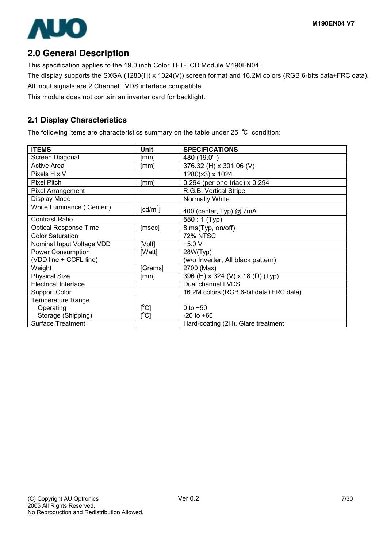

## **2.0 General Description**

This specification applies to the 19.0 inch Color TFT-LCD Module M190EN04.

The display supports the SXGA (1280(H) x 1024(V)) screen format and 16.2M colors (RGB 6-bits data+FRC data). All input signals are 2 Channel LVDS interface compatible.

This module does not contain an inverter card for backlight.

### **2.1 Display Characteristics**

The following items are characteristics summary on the table under 25 ℃ condition:

| <b>ITEMS</b>                 | <b>Unit</b>                             | <b>SPECIFICATIONS</b>                  |
|------------------------------|-----------------------------------------|----------------------------------------|
| Screen Diagonal              | [mm]                                    | 480 (19.0")                            |
| <b>Active Area</b>           | [mm]                                    | 376.32 (H) x 301.06 (V)                |
| Pixels H x V                 |                                         | 1280(x3) x 1024                        |
| <b>Pixel Pitch</b>           | [mm]                                    | 0.294 (per one triad) x 0.294          |
| Pixel Arrangement            |                                         | R.G.B. Vertical Stripe                 |
| Display Mode                 |                                         | Normally White                         |
| White Luminance (Center)     | $\lceil cd/m^2 \rceil$                  | 400 (center, Typ) @ 7mA                |
| <b>Contrast Ratio</b>        |                                         | $550:1$ (Typ)                          |
| <b>Optical Response Time</b> | [msec]                                  | 8 ms(Typ, on/off)                      |
| <b>Color Saturation</b>      |                                         | <b>72% NTSC</b>                        |
| Nominal Input Voltage VDD    | [Volt]                                  | $+5.0 V$                               |
| <b>Power Consumption</b>     | [Watt]                                  | 28W(Typ)                               |
| (VDD line + CCFL line)       |                                         | (w/o Inverter, All black pattern)      |
| Weight                       | [Grams]                                 | 2700 (Max)                             |
| <b>Physical Size</b>         | [mm]                                    | 396 (H) x 324 (V) x 18 (D) (Typ)       |
| <b>Electrical Interface</b>  |                                         | Dual channel LVDS                      |
| <b>Support Color</b>         |                                         | 16.2M colors (RGB 6-bit data+FRC data) |
| <b>Temperature Range</b>     |                                         |                                        |
| Operating                    | $[^{\circ}C]$                           | 0 to $+50$                             |
| Storage (Shipping)           | $\mathsf{I}^\circ\mathsf{C} \mathsf{I}$ | $-20$ to $+60$                         |
| <b>Surface Treatment</b>     |                                         | Hard-coating (2H), Glare treatment     |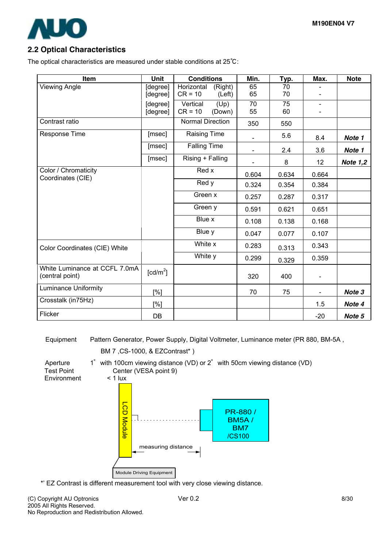

### **2.2 Optical Characteristics**

The optical characteristics are measured under stable conditions at 25℃:

| Item                                             | Unit                   | <b>Conditions</b>       | Min.                     | Typ.  | Max.                     | <b>Note</b>       |
|--------------------------------------------------|------------------------|-------------------------|--------------------------|-------|--------------------------|-------------------|
| <b>Viewing Angle</b>                             | [degree]               | Horizontal<br>(Right)   | 65                       | 70    |                          |                   |
|                                                  | [degree]               | $CR = 10$<br>(Left)     | 65                       | 70    |                          |                   |
|                                                  | [degree]               | Vertical<br>(Up)        | 70                       | 75    | $\blacksquare$           |                   |
|                                                  | [degree]               | $CR = 10$<br>(Down)     | 55                       | 60    |                          |                   |
| Contrast ratio                                   |                        | <b>Normal Direction</b> | 350                      | 550   |                          |                   |
| Response Time                                    | [msec]                 | Raising Time            |                          | 5.6   | 8.4                      | Note 1            |
|                                                  | [msec]                 | <b>Falling Time</b>     | $\overline{\phantom{a}}$ | 2.4   | 3.6                      | Note 1            |
|                                                  | [msec]                 | Rising + Falling        |                          | 8     | 12                       | <b>Note 1,2</b>   |
| Color / Chromaticity<br>Coordinates (CIE)        |                        | Red x                   | 0.604                    | 0.634 | 0.664                    |                   |
|                                                  |                        | Red y                   | 0.324                    | 0.354 | 0.384                    |                   |
|                                                  |                        | Green x                 | 0.257                    | 0.287 | 0.317                    |                   |
|                                                  |                        | Green y                 | 0.591                    | 0.621 | 0.651                    |                   |
|                                                  |                        | Blue x                  | 0.108                    | 0.138 | 0.168                    |                   |
|                                                  |                        | Blue y                  | 0.047                    | 0.077 | 0.107                    |                   |
| Color Coordinates (CIE) White                    |                        | White x                 | 0.283                    | 0.313 | 0.343                    |                   |
|                                                  |                        | White y                 | 0.299                    | 0.329 | 0.359                    |                   |
| White Luminance at CCFL 7.0mA<br>(central point) | $\lceil cd/m^2 \rceil$ |                         | 320                      | 400   | $\overline{\phantom{a}}$ |                   |
| <b>Luminance Uniformity</b>                      | [%]                    |                         | 70                       | 75    | $\blacksquare$           | Note <sub>3</sub> |
| Crosstalk (in75Hz)                               | [%]                    |                         |                          |       | 1.5                      | Note 4            |
| Flicker                                          | DB                     |                         |                          |       | $-20$                    | Note 5            |

Equipment Pattern Generator, Power Supply, Digital Voltmeter, Luminance meter (PR 880, BM-5A,

BM 7 ,CS-1000, & EZContrast\* )

**Environment** 

Aperture 1° with 100cm viewing distance (VD) or 2° with 50cm viewing distance (VD) Test Point Center (VESA point 9)<br>Environment < 1 lux

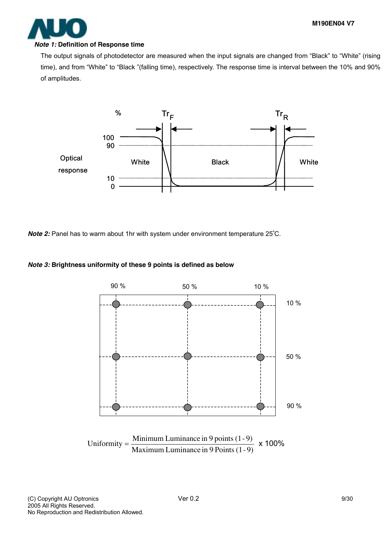

#### *Note 1:* **Definition of Response time**

The output signals of photodetector are measured when the input signals are changed from "Black" to "White" (rising time), and from "White" to "Black "(falling time), respectively. The response time is interval between the 10% and 90% of amplitudes.



*Note 2:* Panel has to warm about 1hr with system under environment temperature 25°C.

#### *Note 3:* **Brightness uniformity of these 9 points is defined as below**



(C) Copyright AU Optronics and the Ver 0.2 9/30 2005 All Rights Reserved. No Reproduction and Redistribution Allowed.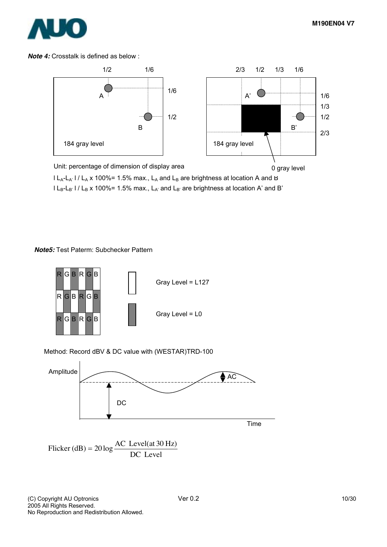

*Note 4:* Crosstalk is defined as below :



 $l L_A-L_{A'}$  l /  $L_A$  x 100%= 1.5% max.,  $L_A$  and  $L_B$  are brightness at location A and B  $l L_B-L_B$ '  $l / L_B$  x 100%= 1.5% max.,  $L_{A'}$  and  $L_{B'}$  are brightness at location A' and B'

#### *Note5:* Test Paterm: Subchecker Pattern



Method: Record dBV & DC value with (WESTAR)TRD-100



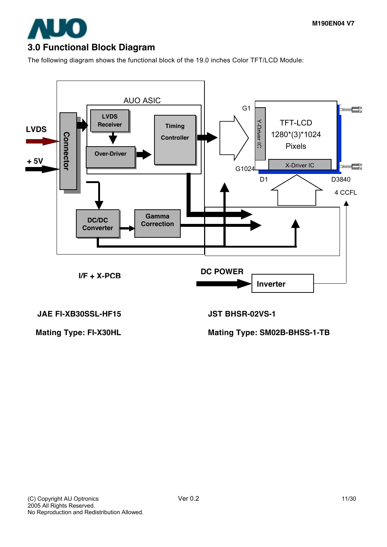

## **3.0 Functional Block Diagram**

The following diagram shows the functional block of the 19.0 inches Color TFT/LCD Module:



**JAE FI-XB30SSL-HF15 JST BHSR-02VS-1** 

Mating Type: FI-X30HL Mating Type: SM02B-BHSS-1-TB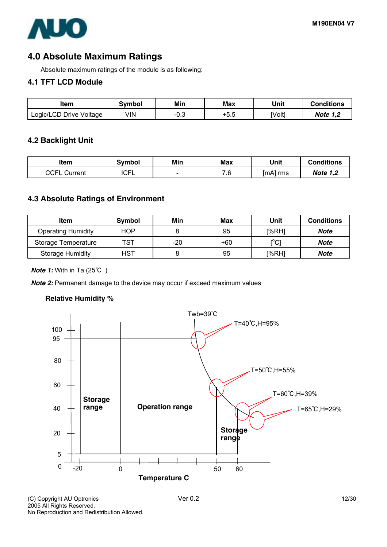

## **4.0 Absolute Maximum Ratings**

Absolute maximum ratings of the module is as following:

### **4.1 TFT LCD Module**

| Item                    | Svmbol | Min  | Max  | Unit   | <b>Conditions</b> |
|-------------------------|--------|------|------|--------|-------------------|
| Logic/LCD Drive Voltage | VIN    | −∪.ഄ | +5.5 | [Volt] | <b>Note 1,2</b>   |

### **4.2 Backlight Unit**

| ltem            | Svmbol | Min                      | Max | Unit     | <b>Conditions</b> |
|-----------------|--------|--------------------------|-----|----------|-------------------|
| CCFL<br>Current | ICFL   | $\overline{\phantom{0}}$ | 7.6 | [mA] rms | <b>Note 1,2</b>   |

## **4.3 Absolute Ratings of Environment**

| Item                      | <b>Symbol</b> | Min | Max   | Unit                    | <b>Conditions</b> |
|---------------------------|---------------|-----|-------|-------------------------|-------------------|
| <b>Operating Humidity</b> | <b>HOP</b>    |     | 95    | [%RH]                   | Note              |
| Storage Temperature       | TST           | -20 | $+60$ | $\mathsf{I}^{\circ}$ Cl | Note              |
| <b>Storage Humidity</b>   | <b>HST</b>    |     | 95    | [%RH]                   | Note              |

#### *Note 1:* With in Ta (25℃ )

*Note 2:* Permanent damage to the device may occur if exceed maximum values

### **Relative Humidity %**



(C) Copyright AU Optronics and the Ver 0.2 12/30 2005 All Rights Reserved. No Reproduction and Redistribution Allowed.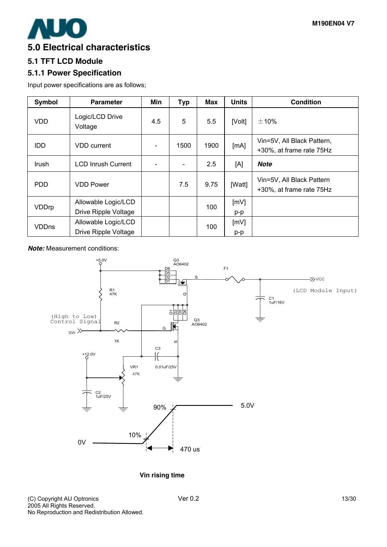

### **5.0 Electrical characteristics**

### **5.1 TFT LCD Module**

### **5.1.1 Power Specification**

Input power specifications are as follows;

| <b>Symbol</b> | <b>Parameter</b>                            | Min | <b>Typ</b> | <b>Max</b> | <b>Units</b> | <b>Condition</b>                                       |
|---------------|---------------------------------------------|-----|------------|------------|--------------|--------------------------------------------------------|
| <b>VDD</b>    | Logic/LCD Drive<br>Voltage                  | 4.5 | 5          | 5.5        | [Volt]       | ±10%                                                   |
| <b>IDD</b>    | <b>VDD</b> current                          |     | 1500       | 1900       | [mA]         | Vin=5V, All Black Pattern,<br>+30%, at frame rate 75Hz |
| <b>Irush</b>  | <b>LCD Inrush Current</b>                   |     | ۰          | 2.5        | [A]          | <b>Note</b>                                            |
| <b>PDD</b>    | <b>VDD Power</b>                            |     | 7.5        | 9.75       | [Watt]       | Vin=5V, All Black Pattern<br>+30%, at frame rate 75Hz  |
| VDDrp         | Allowable Logic/LCD<br>Drive Ripple Voltage |     |            | 100        | [mV]<br>p-p  |                                                        |
| <b>VDDns</b>  | Allowable Logic/LCD<br>Drive Ripple Voltage |     |            | 100        | [mV]<br>p-p  |                                                        |

*Note:* Measurement conditions:



**Vin rising time**

(C) Copyright AU Optronics and the Ver 0.2 13/30 2005 All Rights Reserved. No Reproduction and Redistribution Allowed.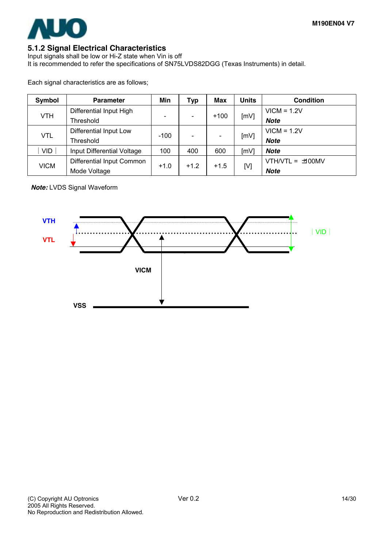

### **5.1.2 Signal Electrical Characteristics**

Input signals shall be low or Hi-Z state when Vin is off It is recommended to refer the specifications of SN75LVDS82DGG (Texas Instruments) in detail.

Each signal characteristics are as follows;

| Symbol      | <b>Parameter</b>           | Min                                            | Typ    | Max         | Units | <b>Condition</b>   |
|-------------|----------------------------|------------------------------------------------|--------|-------------|-------|--------------------|
| <b>VTH</b>  | Differential Input High    |                                                |        |             |       | $VICM = 1.2V$      |
|             | Threshold                  | [mV]<br>$+100$<br>$\qquad \qquad \blacksquare$ |        | <b>Note</b> |       |                    |
|             | Differential Input Low     |                                                |        |             | [mV]  | $VICM = 1.2V$      |
| <b>VTL</b>  | Threshold                  | $-100$                                         |        |             |       | <b>Note</b>        |
| <b>VID</b>  | Input Differential Voltage | 100                                            | 400    | 600         | [mV]  | <b>Note</b>        |
| <b>VICM</b> | Differential Input Common  |                                                |        | $+1.5$      | [V]   | $VTH/ VTL = 100MV$ |
|             | Mode Voltage               | $+1.0$                                         | $+1.2$ |             |       | <b>Note</b>        |

*Note:* LVDS Signal Waveform

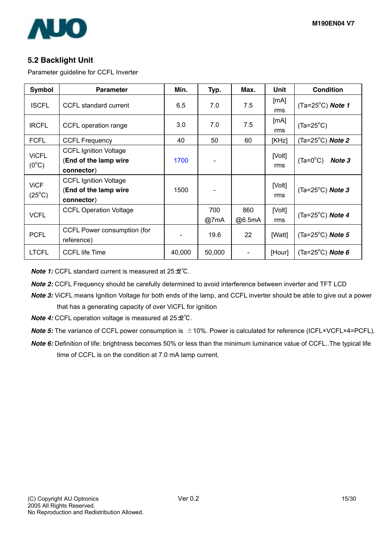

### **5.2 Backlight Unit**

Parameter guideline for CCFL Inverter

| Symbol                         | <b>Parameter</b>                                                    | Min.   | Typ.        | Max.          | Unit          | <b>Condition</b>            |
|--------------------------------|---------------------------------------------------------------------|--------|-------------|---------------|---------------|-----------------------------|
| <b>ISCFL</b>                   | CCFL standard current                                               | 6.5    | 7.0         | 7.5           | [mA]<br>rms   | $(Ta=25^{\circ}C)$ Note 1   |
| <b>IRCFL</b>                   | CCFL operation range                                                | 3.0    | 7.0         | 7.5           | [mA]<br>rms   | $(Ta=25^{\circ}C)$          |
| <b>FCFL</b>                    | <b>CCFL Frequency</b>                                               | 40     | 50          | 60            | [KHz]         | (Ta=25 $^{\circ}$ C) Note 2 |
| <b>ViCFL</b><br>$(0^{\circ}C)$ | <b>CCFL Ignition Voltage</b><br>(End of the lamp wire<br>connector) | 1700   |             |               | [Volt]<br>rms | $(Ta=0^{\circ}C)$<br>Note 3 |
| <b>ViCF</b><br>$(25^{\circ}C)$ | <b>CCFL Ignition Voltage</b><br>(End of the lamp wire<br>connector) | 1500   |             |               | [Volt]<br>rms | (Ta=25 $^{\circ}$ C) Note 3 |
| <b>VCFL</b>                    | <b>CCFL Operation Voltage</b>                                       |        | 700<br>@7mA | 860<br>@6.5mA | [Volt]<br>rms | (Ta= $25^{\circ}$ C) Note 4 |
| <b>PCFL</b>                    | CCFL Power consumption (for<br>reference)                           |        | 19.6        | 22            | [Watt]        | (Ta=25 $^{\circ}$ C) Note 5 |
| <b>LTCFL</b>                   | <b>CCFL life Time</b>                                               | 40,000 | 50,000      |               | [Hour]        | (Ta=25 $^{\circ}$ C) Note 6 |

*Note 1:* CCFL standard current is measured at 25±2°C.

*Note 2:* CCFL Frequency should be carefully determined to avoid interference between inverter and TFT LCD

*Note 3:* ViCFL means Ignition Voltage for both ends of the lamp, and CCFL inverter should be able to give out a power that has a generating capacity of over ViCFL for ignition

*Note 4:* CCFL operation voltage is measured at 25±2°C.

*Note 5:* The variance of CCFL power consumption is  $\pm$ 10%. Power is calculated for reference (ICFL×VCFL×4=PCFL).

*Note 6:* Definition of life: brightness becomes 50% or less than the minimum luminance value of CCFL..The typical life time of CCFL is on the condition at 7.0 mA lamp current.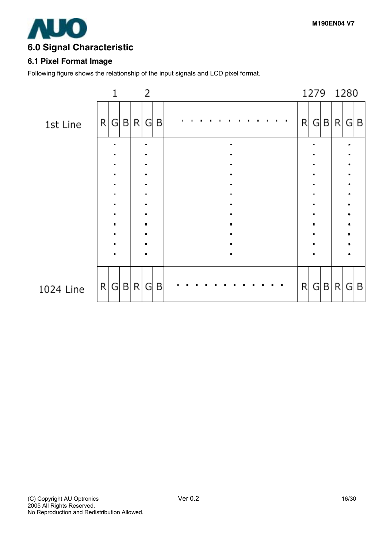

### **6.1 Pixel Format Image**

Following figure shows the relationship of the input signals and LCD pixel format.

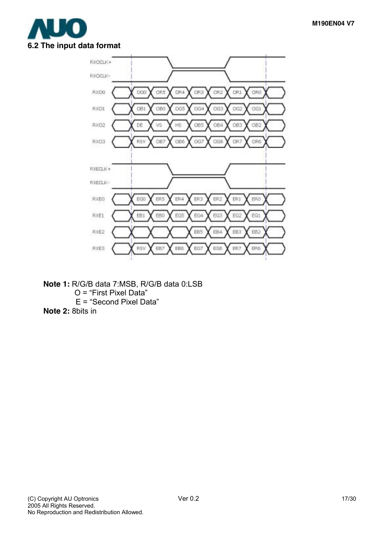



- **Note 1:** R/G/B data 7:MSB, R/G/B data 0:LSB O = "First Pixel Data" E = "Second Pixel Data"
- **Note 2:** 8bits in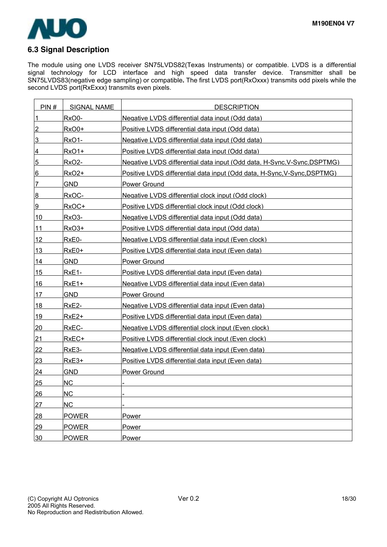

### **6.3 Signal Description**

The module using one LVDS receiver SN75LVDS82(Texas Instruments) or compatible. LVDS is a differential signal technology for LCD interface and high speed data transfer device. Transmitter shall be SN75LVDS83(negative edge sampling) or compatible**.** The first LVDS port(RxOxxx) transmits odd pixels while the second LVDS port(RxExxx) transmits even pixels.

| PIN#           | <b>SIGNAL NAME</b> | <b>DESCRIPTION</b>                                                       |
|----------------|--------------------|--------------------------------------------------------------------------|
| $\overline{1}$ | RxO0-              | Negative LVDS differential data input (Odd data)                         |
| $\overline{2}$ | RxO0+              | Positive LVDS differential data input (Odd data)                         |
| 3              | Rx01-              | Negative LVDS differential data input (Odd data)                         |
| 4              | $RxO1+$            | Positive LVDS differential data input (Odd data)                         |
| $\overline{5}$ | RxO <sub>2</sub> - | Negative LVDS differential data input (Odd data, H-Sync, V-Sync, DSPTMG) |
| 6              | RxO <sub>2+</sub>  | Positive LVDS differential data input (Odd data, H-Sync,V-Sync,DSPTMG)   |
| 7              | <b>GND</b>         | <b>Power Ground</b>                                                      |
| 8              | RxOC-              | Negative LVDS differential clock input (Odd clock)                       |
| 9              | RxOC+              | Positive LVDS differential clock input (Odd clock)                       |
| 10             | RxO3-              | Negative LVDS differential data input (Odd data)                         |
| 11             | <b>RxO3+</b>       | Positive LVDS differential data input (Odd data)                         |
| 12             | RxE0-              | Negative LVDS differential data input (Even clock)                       |
| <u>13</u>      | RxE0+              | Positive LVDS differential data input (Even data)                        |
| 14             | <b>GND</b>         | Power Ground                                                             |
| 15             | $RxE1-$            | Positive LVDS differential data input (Even data)                        |
| 16             | $RxE1+$            | Negative LVDS differential data input (Even data)                        |
| 17             | <b>GND</b>         | Power Ground                                                             |
| <u>18</u>      | $RxE2-$            | Negative LVDS differential data input (Even data)                        |
| 19             | RxE <sub>2+</sub>  | Positive LVDS differential data input (Even data)                        |
| 20             | RxEC-              | Negative LVDS differential clock input (Even clock)                      |
| 21             | RxEC+              | Positive LVDS differential clock input (Even clock)                      |
| 22             | RxE3-              | Negative LVDS differential data input (Even data)                        |
| 23             | RxE3+              | Positive LVDS differential data input (Even data)                        |
| 24             | <b>GND</b>         | <b>Power Ground</b>                                                      |
| 25             | <b>NC</b>          |                                                                          |
| 26             | <b>NC</b>          |                                                                          |
| 27             | NC                 |                                                                          |
| 28             | <b>POWER</b>       | <b>Power</b>                                                             |
| 29             | <b>POWER</b>       | Power                                                                    |
| 30             | <b>POWER</b>       | Power                                                                    |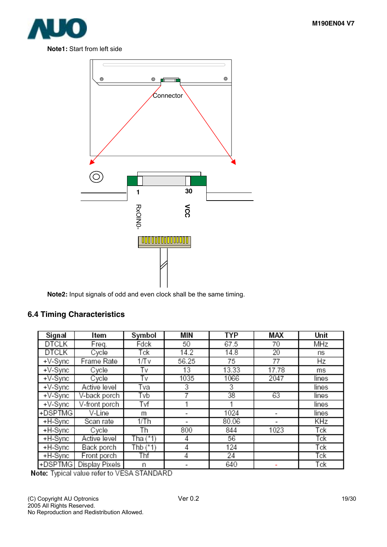





**Note2:** Input signals of odd and even clock shall be the same timing.

### **6.4 Timing Characteristics**

| Signal       | ltem           | Symbol     | MIN   | TYP   | MAX   | Unit  |
|--------------|----------------|------------|-------|-------|-------|-------|
| DTCLK        | Freq.          | Fdck       | 50    | 67.5  | 70    | MHz   |
| <b>DTCLK</b> | Cycle          | Tck        | 14.2  | 14.8  | 20    | ns    |
| $+V-Sync$    | Frame Rate     | 1/Tv       | 56.25 | 75    | 77    | Hz    |
| $+V-Sync$    | Cycle          | T٧         | 13    | 13.33 | 17.78 | ms    |
| +V-Sync      | Cycle          | Tv         | 1035  | 1066  | 2047  | lines |
| $+V-Sync$    | Active level   | Tva        | 3     | 3     |       | lines |
| +V-Sync      | V-back porch   | Tvb        |       | 38    | 63    | lines |
| $+V-Sync$    | V-front porch  | Tvf        |       |       |       | lines |
| +DSPTMG      | V-Line         | m          | ۰     | 1024  |       | lines |
| +H-Sync      | Scan rate      | 1/Th       |       | 80.06 |       | KHz   |
| $+H-Sync$    | Cycle          | Th         | 800   | 844   | 1023  | Tck   |
| +H-Sync      | Active level   | Tha $(*1)$ | 4     | 56    |       | Tck   |
| +H-Sync      | Back porch     | Thb (*1)   | 4     | 124   |       | Tck   |
| +H-Sync      | Front porch    | Thf        | 4     | 24    |       | Tck   |
| +DSPTMG      | Display Pixels | n          |       | 640   |       | Tck   |

Note: Typical value refer to VESA STANDARD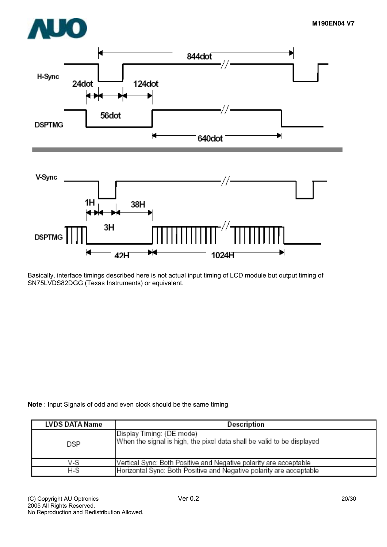H



 $42H$ 1024H Basically, interface timings described here is not actual input timing of LCD module but output timing of

×

**Note** : Input Signals of odd and even clock should be the same timing

SN75LVDS82DGG (Texas Instruments) or equivalent.

Н

| LVDS DATA Name | Description                                                                                          |
|----------------|------------------------------------------------------------------------------------------------------|
| DSP            | Display Timing: (DE mode) <br>When the signal is high, the pixel data shall be valid to be displayed |
| V-S            | Vertical Sync: Both Positive and Negative polarity are acceptable                                    |
| H-S            | Horizontal Sync: Both Positive and Negative polarity are acceptable                                  |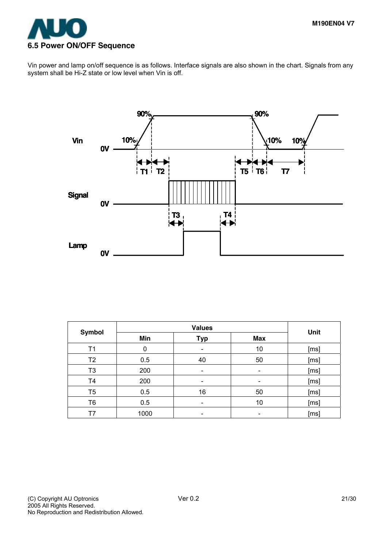

Vin power and lamp on/off sequence is as follows. Interface signals are also shown in the chart. Signals from any system shall be Hi-Z state or low level when Vin is off.



| <b>Symbol</b>  |      | Unit       |                          |      |
|----------------|------|------------|--------------------------|------|
|                | Min  | <b>Typ</b> | <b>Max</b>               |      |
| Τ1             | 0    |            | 10                       | [ms] |
| T <sub>2</sub> | 0.5  | 40         | 50                       | [ms] |
| T <sub>3</sub> | 200  |            | -                        | [ms] |
| T <sub>4</sub> | 200  |            | -                        | [ms] |
| T <sub>5</sub> | 0.5  | 16         | 50                       | [ms] |
| T6             | 0.5  |            | 10                       | [ms] |
| T7             | 1000 |            | $\overline{\phantom{a}}$ | [ms] |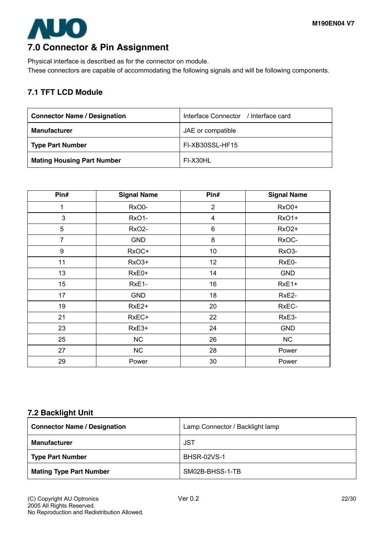

## **7.0 Connector & Pin Assignment**

Physical interface is described as for the connector on module. These connectors are capable of accommodating the following signals and will be following components.

### **7.1 TFT LCD Module**

| <b>Connector Name / Designation</b> | Interface Connector / Interface card |
|-------------------------------------|--------------------------------------|
| <b>Manufacturer</b>                 | JAE or compatible                    |
| <b>Type Part Number</b>             | FI-XB30SSL-HF15                      |
| <b>Mating Housing Part Number</b>   | FI-X30HL                             |

| Pin#           | <b>Signal Name</b> | Pin#                    | <b>Signal Name</b> |
|----------------|--------------------|-------------------------|--------------------|
| 1              | RxO0-              | $\overline{2}$          | RxO0+              |
| 3              | RxO1-              | $\overline{\mathbf{4}}$ | <b>RxO1+</b>       |
| 5              | RxO <sub>2</sub> - | 6                       | RxO <sub>2+</sub>  |
| $\overline{7}$ | <b>GND</b>         | 8                       | RxOC-              |
| 9              | RxOC+              | 10                      | RxO3-              |
| 11             | RxO3+              | 12                      | RxE0-              |
| 13             | RxE0+              | 14                      | <b>GND</b>         |
| 15             | RxE1-              | 16                      | RxE1+              |
| 17             | <b>GND</b>         | 18                      | RxE2-              |
| 19             | RxE <sub>2+</sub>  | 20                      | RxEC-              |
| 21             | RxEC+              | 22                      | RxE3-              |
| 23             | RxE3+              | 24                      | <b>GND</b>         |
| 25             | NC                 | 26                      | <b>NC</b>          |
| 27             | NC                 | 28                      | Power              |
| 29             | Power              | 30                      | Power              |

### **7.2 Backlight Unit**

| <b>Connector Name / Designation</b> | Lamp Connector / Backlight lamp |
|-------------------------------------|---------------------------------|
| <b>Manufacturer</b>                 | <b>JST</b>                      |
| <b>Type Part Number</b>             | <b>BHSR-02VS-1</b>              |
| <b>Mating Type Part Number</b>      | SM02B-BHSS-1-TB                 |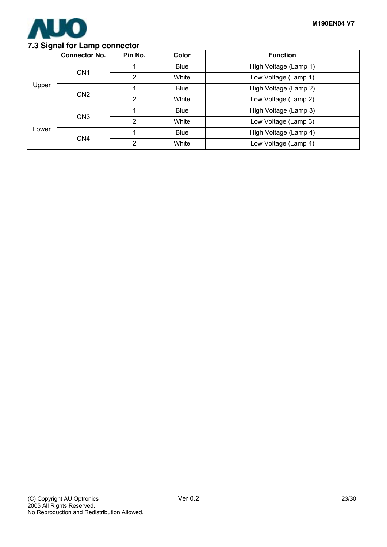

### **7.3 Signal for Lamp connector**

|       | <b>Connector No.</b> | Pin No.        | Color       | <b>Function</b>       |
|-------|----------------------|----------------|-------------|-----------------------|
|       |                      |                | <b>Blue</b> | High Voltage (Lamp 1) |
|       | CN <sub>1</sub>      | $\overline{2}$ | White       | Low Voltage (Lamp 1)  |
| Upper |                      |                | <b>Blue</b> | High Voltage (Lamp 2) |
|       | CN <sub>2</sub>      | 2              | White       | Low Voltage (Lamp 2)  |
| Lower | CN <sub>3</sub>      |                | <b>Blue</b> | High Voltage (Lamp 3) |
|       |                      | 2              | White       | Low Voltage (Lamp 3)  |
|       | CN <sub>4</sub>      |                | <b>Blue</b> | High Voltage (Lamp 4) |
|       |                      | 2              | White       | Low Voltage (Lamp 4)  |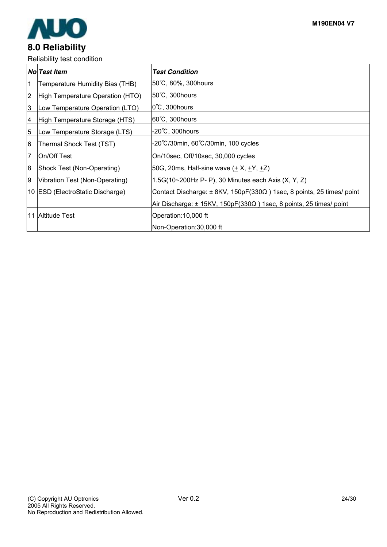

Reliability test condition

|                | <b>I</b> solid billery toot container. |                                                                                    |
|----------------|----------------------------------------|------------------------------------------------------------------------------------|
|                | <b>No Test Item</b>                    | <b>Test Condition</b>                                                              |
|                | Temperature Humidity Bias (THB)        | 50°C, 80%, 300 hours                                                               |
| $\overline{2}$ | High Temperature Operation (HTO)       | 50°C, 300 hours                                                                    |
| 3              | Low Temperature Operation (LTO)        | $0^{\circ}$ C, 300 hours                                                           |
| Ι4             | High Temperature Storage (HTS)         | 60°C, 300hours                                                                     |
| 5              | Low Temperature Storage (LTS)          | -20°C, 300hours                                                                    |
| 6              | Thermal Shock Test (TST)               | -20°C/30min, 60°C/30min, 100 cycles                                                |
| 7              | On/Off Test                            | On/10sec, Off/10sec, 30,000 cycles                                                 |
| 18             | Shock Test (Non-Operating)             | 50G, 20ms, Half-sine wave $(\pm X, \pm Y, \pm Z)$                                  |
| Ι9             | Vibration Test (Non-Operating)         | 1.5G(10~200Hz P- P), 30 Minutes each Axis (X, Y, Z)                                |
|                | 10 ESD (ElectroStatic Discharge)       | Contact Discharge: $\pm$ 8KV, 150pF(330 $\Omega$ ) 1sec, 8 points, 25 times/ point |
|                |                                        | Air Discharge: $\pm$ 15KV, 150pF(330 $\Omega$ ) 1sec, 8 points, 25 times/ point    |
|                | 11 Altitude Test                       | Operation: 10,000 ft                                                               |
|                |                                        | Non-Operation: 30,000 ft                                                           |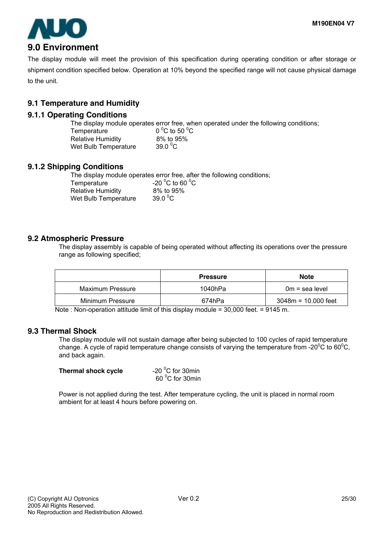

The display module will meet the provision of this specification during operating condition or after storage or shipment condition specified below. Operation at 10% beyond the specified range will not cause physical damage to the unit.

### **9.1 Temperature and Humidity**

### **9.1.1 Operating Conditions**

The display module operates error free, when operated under the following conditions; Temperature C to 50 $\mathrm{^0C}$ Relative Humidity 8% to 95% Wet Bulb Temperature 39.0  $^0$ C

### **9.1.2 Shipping Conditions**

The display module operates error free, after the following conditions;

Temperature Relative Humidity 8% to 95% Wet Bulb Temperature  $39.0\,^{\circ}$ C

C to 60  $^{\circ}$ C

### **9.2 Atmospheric Pressure**

The display assembly is capable of being operated without affecting its operations over the pressure range as following specified;

|                  | <b>Pressure</b> | <b>Note</b>           |
|------------------|-----------------|-----------------------|
| Maximum Pressure | 1040hPa         | $0m = sea level$      |
| Minimum Pressure | 674hPa          | $3048m = 10.000$ feet |

Note : Non-operation attitude limit of this display module = 30,000 feet. = 9145 m.

### **9.3 Thermal Shock**

The display module will not sustain damage after being subjected to 100 cycles of rapid temperature change. A cycle of rapid temperature change consists of varying the temperature from -20 $\rm{^0C}$  to 60 $\rm{^0C}$ , and back again.

| Thermal shock cycle | -20 $\mathrm{^0C}$ for 30min |
|---------------------|------------------------------|
|                     | 60 °C for 30min              |

Power is not applied during the test. After temperature cycling, the unit is placed in normal room ambient for at least 4 hours before powering on.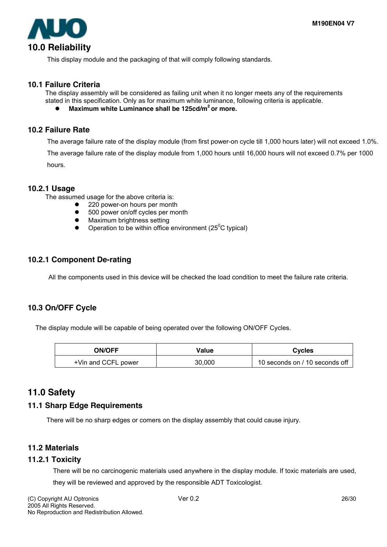

This display module and the packaging of that will comply following standards.

### **10.1 Failure Criteria**

The display assembly will be considered as failing unit when it no longer meets any of the requirements stated in this specification. Only as for maximum white luminance, following criteria is applicable.

Maximum white Luminance shall be 125cd/m<sup>2</sup> or more.

### **10.2 Failure Rate**

The average failure rate of the display module (from first power-on cycle till 1,000 hours later) will not exceed 1.0%.

The average failure rate of the display module from 1,000 hours until 16,000 hours will not exceed 0.7% per 1000 hours.

### **10.2.1 Usage**

The assumed usage for the above criteria is:

- 220 power-on hours per month
- 500 power on/off cycles per month
- Maximum brightness setting
- Operation to be within office environment ( $25^{\circ}$ C typical)

### **10.2.1 Component De-rating**

All the components used in this device will be checked the load condition to meet the failure rate criteria.

### **10.3 On/OFF Cycle**

The display module will be capable of being operated over the following ON/OFF Cycles.

| <b>ON/OFF</b>       | Value  | <b>Cycles</b>                  |
|---------------------|--------|--------------------------------|
| +Vin and CCFL power | 30,000 | 10 seconds on / 10 seconds off |

### **11.0 Safety**

### **11.1 Sharp Edge Requirements**

There will be no sharp edges or comers on the display assembly that could cause injury.

### **11.2 Materials**

### **11.2.1 Toxicity**

There will be no carcinogenic materials used anywhere in the display module. If toxic materials are used, they will be reviewed and approved by the responsible ADT Toxicologist.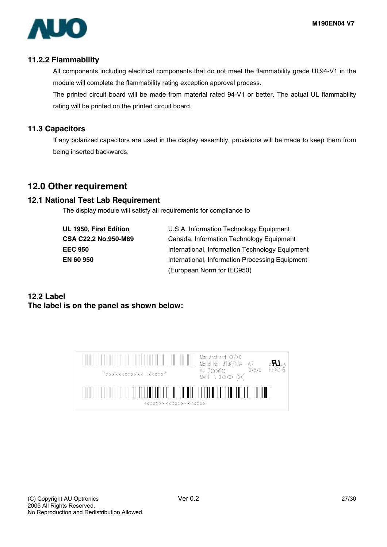

### **11.2.2 Flammability**

All components including electrical components that do not meet the flammability grade UL94-V1 in the module will complete the flammability rating exception approval process.

The printed circuit board will be made from material rated 94-V1 or better. The actual UL flammability rating will be printed on the printed circuit board.

### **11.3 Capacitors**

If any polarized capacitors are used in the display assembly, provisions will be made to keep them from being inserted backwards.

## **12.0 Other requirement**

### **12.1 National Test Lab Requirement**

The display module will satisfy all requirements for compliance to

| UL 1950, First Edition |
|------------------------|
| CSA C22.2 No.950-M89   |
| <b>EEC 950</b>         |
| EN 60 950              |
|                        |

U.S.A. Information Technology Equipment **Canada, Information Technology Equipment International, Information Technology Equipment International, Information Processing Equipment** (European Norm for IEC950)

### **12.2 Label The label is on the panel as shown below:**

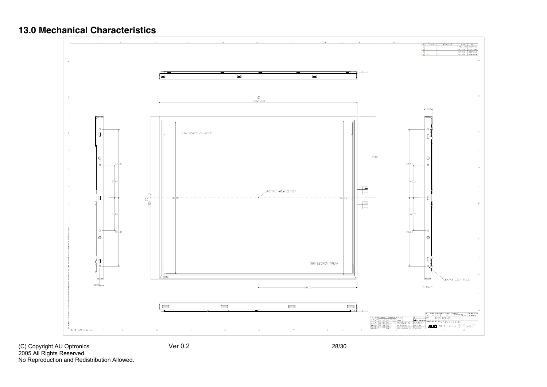## **13.0 Mechanical Characteristics**



2005 All Rights Reserved. No Reproduction and Redistribution Allowed.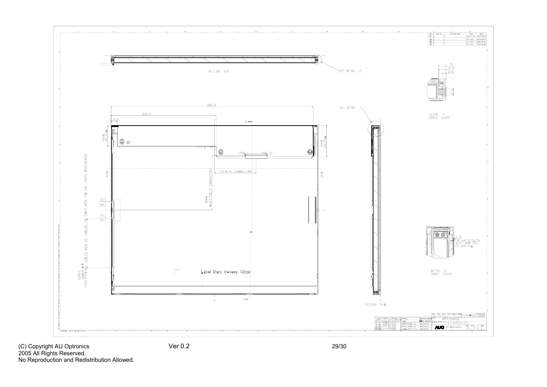

2005 All Rights Reserved. No Reproduction and Redistribution Allowed.